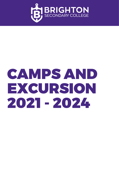

# CAMPS AND EXCURSION 2021 - 2024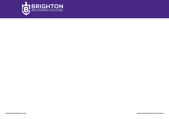**2 | BRIGHTON SECONDARY COLLEGE CAMPS AND EXCURSIONS POLICY 2021-2024 | 3**

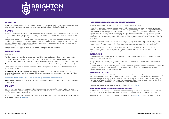

# PURPOSE

To explain to c<br>when planning<br>**BRADE** To explain to our school community the processes and procedures Brighton Secondary College will use when planning and conducting camps, excursions and adventure activities for students.

# SCOPE

This policy applies to all camps and excursions organised by Brighton Secondary College. This policy also applies to adventure activities organised by Brighton Secondary College, regardless of whether or not they take place on or off school grounds, and to school sleep-overs.

This policy is intended to complement the Department's policy and guidelines on excursions, camps and adventure activities which all Victorian government schools are required to follow. Brighton Secondary College will follow both this policy, as well as the Department's policy and guidelines when planning for and conducting camps and excursions.

This policy does not apply to student workplace learning or intercampus travel.

# DEFINITIONS

Excursions:

For the purpose of this policy, excursions are activities organised by the school where the students:

- are taken out of the school grounds (for example, a camp, day excursion, school sports);
- undertake adventure activities, regardless of whether or not they occur outside the school grounds;

**Camps** are excursions involving at least one night's accommodation (including school sleep-overs).

**Local excursions** are excursions to locations within walking distance of the school and do not involve 'Adventure Activities'.

**Adventure activities** are activities that involve a greater than normal risk. Further information and examples of adventure activities are available on the Department's Policy and Advisory Library, at the following link:

#### https://www2.education.vic.gov.au/pal/excursions/guidance/adventure-activities

**Note:** workplace learning activities (such as work experience) and intercampus travel are not considered school excursions.

# **POLICY**

Camps and excursions can provide a valuable educational experience for our students which are complementary to their learning, as they provide access to resources, environments and expertise that may not be available in the classroom.

For all camps and excursions, including adventure activities, our school will follow the Department's Policy and Advisory Library: Excursions.

### PLANNING PROCESS FOR CAMPS AND EXCURSIONS

All camps and excursions will comply with Department planning requirements.

Part of this planning process includes conducting risk assessments, to ensure that reasonable steps are taken to minimise the risks associated with each proposed camp or excursion. Brighton Secondary College's risk assessment will include consideration of arrangements for supervision of students and consideration of the risk of bushfire activity in the excursion location. In the event of a Code Red Day being announced, excursions or camp activities in effected locations will be cancelled or rescheduled. Planning will also cover arrangements for cancelling, recalling or altering the camp or excursion for any other reason.

Brighton Secondary College is committed to ensuring students with additional needs are provided with an inclusive camps and excursions program and will work with families during the planning stage, as needed, to support all students' attendance and participation in camp and excursion activities.

In cases where a camp or excursion involves a particular class or year level group, the Organising Teacher will ensure that there is an alternative educational program available and appropriate supervision for those students not attending the camp or excursion.

#### SUPERVISION

Brighton Secondary College follows the Department's guidelines in relation to supervision of students during excursions and camps.

All excursion staff (including parent volunteers) will be familiar with supervision requirements and the specific procedures for dealing with emergencies on each camp and excursion.

All school staff will be aware that they retain overall responsibility for the supervision and care of students throughout all camps and excursions (including adventure activities), regardless of whether or not external providers are managing the activity.

#### PARENT VOLUNTEERS

Parents may be invited to assist with camps and excursions. School staff will notify parents/carers of any costs associated with attending. School staff are in charge of camps and excursions and parent/carer volunteers are expected to follow teachers' instructions. When deciding which parents/carers will attend, the Organising Teacher will take into account: any valuable skills the parents/carers have to offer (e.g. bus licence, first aid etc.) and the special needs of particular students.

For more information on our Volunteers Policy please visit our website.

## VOLUNTEER AND EXTERNAL PROVIDER CHECKS

Brighton Secondary College requires all parent or carer camp or excursion volunteers and all external providers working directly with our students to have a current Working with Children Check card.

For more information on our Volunteers Policy please visit our website or contact the General Office.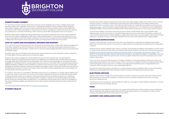

Parents and carers need to ensure the school has up-to-date student health information prior to camps and excursions. A member of staff will be appointed with responsibility for the health needs of the students for each camp/excursion. Teachers will administer any medication provided according to our Medication policy and the student's signed Medication Authority Form. To meet the school's obligations relating to safety, a first aid kit and mobile phone will be taken by teachers on all camps and excursions.

It is the responsibility of parents and carers to ensure their child/children are in good health when attending excursions and camps. If a student becomes ill during a camp and is not able to continue at camp it is the parent/carer's responsibility to collect them and cover any associated costs. If the Principal approves a student joining a camp late, transport to the camp is the parent/carer's responsibility.

#### BEHAVIOUR EXPECTATIONS

Students participating in camps and excursions are required to cooperate and display appropriate behaviour to ensure the camp or excursion is a safe, positive and educational experience for all students involved.

Parents/carers will be notified if their child is in danger of losing the privilege to participate in an excursion or camp due to behaviour that does not meet the standards of behaviour set out in the school's Student Wellbeing and Engagement Policy, Bullying Prevention Policy and Inclusion and Diversity Policy. The decision to exclude a student will be made by the Principal or Assistant Principals, in consultation with the Organising Teacher. Both the parent/carer and the student will be informed of this decision prior to the camp or excursion.

For all camps<br>parents/carer<br>Secondary Co<br>consent for th For all camps and excursions, other than local excursions, Brighton Secondary College will provide parents/carers with a specific consent form outlining the details of the proposed activity. Brighton Secondary College uses Compass to inform parents about camps and excursions and to seek their consent for their child's participation. Parents/carers are encouraged to contact the school to discuss any questions or concerns that they or their child may have with a proposed camp or excursion.

> If on a camp or excursion the Teacher in Charge considers an individual student's behaviour does not meet required standards, then the Principal or their nominee may determine that a student should return home during the camp or excursion. In these circumstances the parent/carer is responsible for the collection of the student and any costs associated with this.

Disciplinary measures apply to students on camps and excursions consistent with our school's Student Wellbeing and Engagement Policy, Student Code of Conduct and Bullying Prevention Policy.

#### ELECTRONIC DEVICES

Brighton Secondary College will provide students and their parents and carers with information about items that can or cannot be brought to camps, excursions, special activities and events, including personal mobile devices.

The school cannot accept any responsibility for theft, loss, damage or health effects (potential or actual) resulting from the use of these devices.

#### FOOD

Students are not permitted to bring their own supply of food items to camps and excursions unless the item is medically indicated and discussed with the Organising Teacher, or included as an item on the clothing and equipment list for that camp or excursion.

#### ACCIDENT AND AMBULANCE COVER

#### PARENT/CARER CONSENT

Brighton Secondary College will also provide advance notice to parents/carers of an upcoming local excursion through an applicable notification method listed above. For local excursions that occur on a recurring basis (for example weekly outings to the local oval for sports lessons), Brighton Secondary College will notify parents once only prior to the commencement of the recurring event.

#### COST OF CAMPS AND EXCURSIONS, REFUNDS AND SUPPORT

The cost of all camps and excursions are to be paid by parents/carers unless alternative arrangements have been agreed to by the Principal prior to the excursion. All families will be given sufficient time to make payments for all activities. Consent forms will have clearly stated payment amounts and payment finalisation dates.

Students who have not finalised payment by the required date will not be allowed to attend unless the Principal determines exceptional circumstances apply.

Brighton Secondary College will make all efforts to ensure that students are not excluded for financial reasons. Families experiencing financial difficulty are invited to discuss alternative payment arrangements with the Family Finance Manager. The Family Finance Manager can also discuss family eligibility for the Department's Camps, Sports and Excursions Fund (CSEF), which provides payments for eligible students to attend school activities, including camps and excursions. Applications for the CSEF are open to families holding a valid means-tested concession card or temporary foster parents and are facilitated by the school. Further information about the CSEF and the application form are available at Camps, Sports and Excursions Fund.

If a camp or excursion is cancelled or altered by the school, or a student is no longer able to attend part or all of the camp or excursion, our school will consider requests for partial or full refunds of payments made by parents/carers on a case-by-case basis taking into account the individual circumstances. Generally we will not be able to refund payments made for costs that have already been paid where those funds have already been transferred or committed to a third party and no refund is available to the school. Where possible, we will provide information about refunds to parents/carers at the time of payment.

For more information please read our Parent Payment Policy

#### STUDENT HEALTH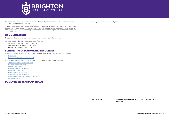#### LAST RATIFIED BY COLLEGE NEXT REVIEW DATE:



Any costs associated with student injury rest with parents/carers unless the Department is liable in This policy will be reviewed every 3 years. negligence (liability is not automatic).

regingerice (iic<br>Unless otherw<br>accident or ar<br>and/or ambule Unless otherwise indicated, Brighton Secondary College and the Department do not provide student accident or ambulance cover. Parents/carers may wish to obtain student accident insurance cover and/or ambulance cover, depending on their health insurance arrangements and any other personal considerations.

# COMMUNICATION

This policy will be communicated to our school community in the following way:

Included in staff induction processes and staff training

- Available publicly on our school's website
- Compass under School Documentation
- References in the staff handbook

# FURTHER INFORMATION AND RESOURCES

This policy should be read in conjunction with the following Department polices and guidelines:

- Excursions
- Camps, Sports and Excursions Fund

The following school policies are also relevant to this Camps and Excursions Policy:

- Administration of Medication Policy
- Bullying Prevention Policy
- Duty of Care Policy
- Inclusion and Diversity Policy
- Parent Payment Policy
- **Statement of Values Policy**
- **Student Mobile Device Policy**
- Student Wellbeing and Engagement Policy
- Volunteer Policy

# POLICY REVIEW AND APPROVAL

**COUNCIL:** 

**LAST UPDATED:**